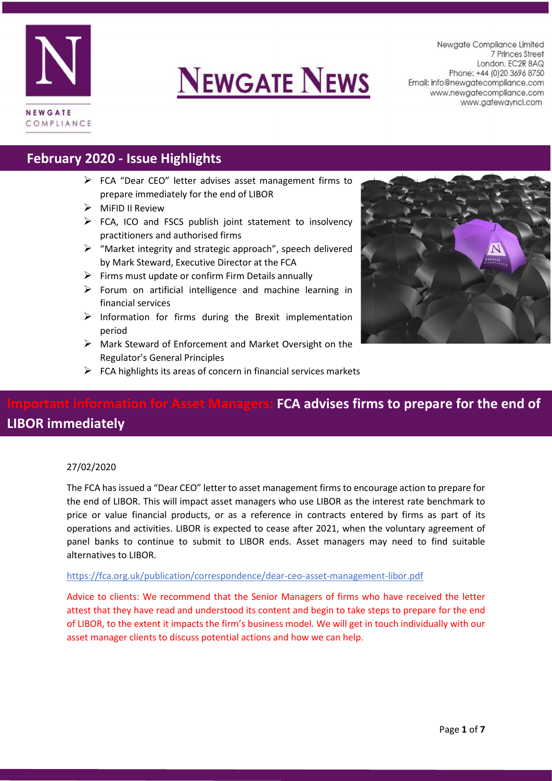

# **NEWGATE NEWS**

Newaate Compliance Limited 7 Princes Street London. EC2R 8AQ Phone: +44 (0) 20 3696 8750 Email: info@newgatecompliance.com www.newgatecompliance.com www.gatewayncl.com

## **February 2020 - Issue Highlights**

- FCA "Dear CEO" letter advises asset management firms to prepare immediately for the end of LIBOR
- $\triangleright$  MiFID II Review
- $\triangleright$  FCA, ICO and FSCS publish joint statement to insolvency practitioners and authorised firms
- $\triangleright$  "Market integrity and strategic approach", speech delivered by Mark Steward, Executive Director at the FCA
- $\triangleright$  Firms must update or confirm Firm Details annually
- $\triangleright$  Forum on artificial intelligence and machine learning in financial services
- $\triangleright$  Information for firms during the Brexit implementation period
- $\triangleright$  Mark Steward of Enforcement and Market Oversight on the Regulator's General Principles
- $\triangleright$  FCA highlights its areas of concern in financial services markets



## **IFCA advises firms to prepare for the end of LIBOR immediately**

#### 27/02/2020

The FCA has issued a "Dear CEO" letter to asset management firms to encourage action to prepare for the end of LIBOR. This will impact asset managers who use LIBOR as the interest rate benchmark to price or value financial products, or as a reference in contracts entered by firms as part of its operations and activities. LIBOR is expected to cease after 2021, when the voluntary agreement of panel banks to continue to submit to LIBOR ends. Asset managers may need to find suitable alternatives to LIBOR.

#### <https://fca.org.uk/publication/correspondence/dear-ceo-asset-management-libor.pdf>

Advice to clients: We recommend that the Senior Managers of firms who have received the letter attest that they have read and understood its content and begin to take steps to prepare for the end of LIBOR, to the extent it impacts the firm's business model. We will get in touch individually with our asset manager clients to discuss potential actions and how we can help.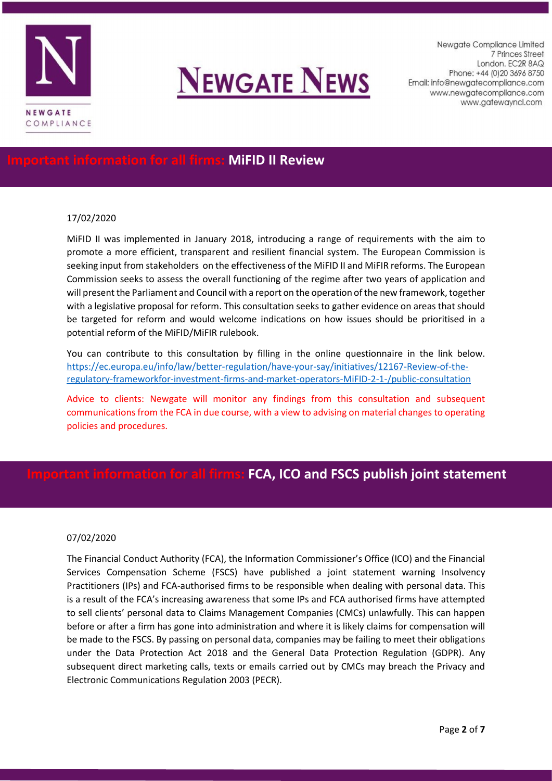



Newaate Compliance Limited 7 Princes Street London. EC2R 8AQ Phone: +44 (0) 20 3696 8750 Email: info@newgatecompliance.com www.newgatecompliance.com www.gatewayncl.com

### **Iormation for all firms: MiFID II Review**

#### 17/02/2020

MiFID II was implemented in January 2018, introducing a range of requirements with the aim to promote a more efficient, transparent and resilient financial system. The European Commission is seeking input from stakeholders on the effectiveness of the MiFID II and MiFIR reforms. The European Commission seeks to assess the overall functioning of the regime after two years of application and will present the Parliament and Council with a report on the operation of the new framework, together with a legislative proposal for reform. This consultation seeks to gather evidence on areas that should be targeted for reform and would welcome indications on how issues should be prioritised in a potential reform of the MiFID/MiFIR rulebook.

You can contribute to this consultation by filling in the online questionnaire in the link below. [https://ec.europa.eu/info/law/better-regulation/have-your-say/initiatives/12167-Review-of-the](https://ec.europa.eu/info/law/better-regulation/have-your-say/initiatives/12167-Review-of-the-regulatory-frameworkfor-investment-firms-and-market-operators-MiFID-2-1-/public-consultation)[regulatory-frameworkfor-investment-firms-and-market-operators-MiFID-2-1-/public-consultation](https://ec.europa.eu/info/law/better-regulation/have-your-say/initiatives/12167-Review-of-the-regulatory-frameworkfor-investment-firms-and-market-operators-MiFID-2-1-/public-consultation)

Advice to clients: Newgate will monitor any findings from this consultation and subsequent communications from the FCA in due course, with a view to advising on material changes to operating policies and procedures.

### **IL firms: FCA, ICO and FSCS publish joint statement**

#### 07/02/2020

The Financial Conduct Authority (FCA), the Information Commissioner's Office (ICO) and the Financial Services Compensation Scheme (FSCS) have published a joint statement warning Insolvency Practitioners (IPs) and FCA-authorised firms to be responsible when dealing with personal data. This is a result of the FCA's increasing awareness that some IPs and FCA authorised firms have attempted to sell clients' personal data to Claims Management Companies (CMCs) unlawfully. This can happen before or after a firm has gone into administration and where it is likely claims for compensation will be made to the FSCS. By passing on personal data, companies may be failing to meet their obligations under the Data Protection Act 2018 and the General Data Protection Regulation (GDPR). Any subsequent direct marketing calls, texts or emails carried out by CMCs may breach the Privacy and Electronic Communications Regulation 2003 (PECR).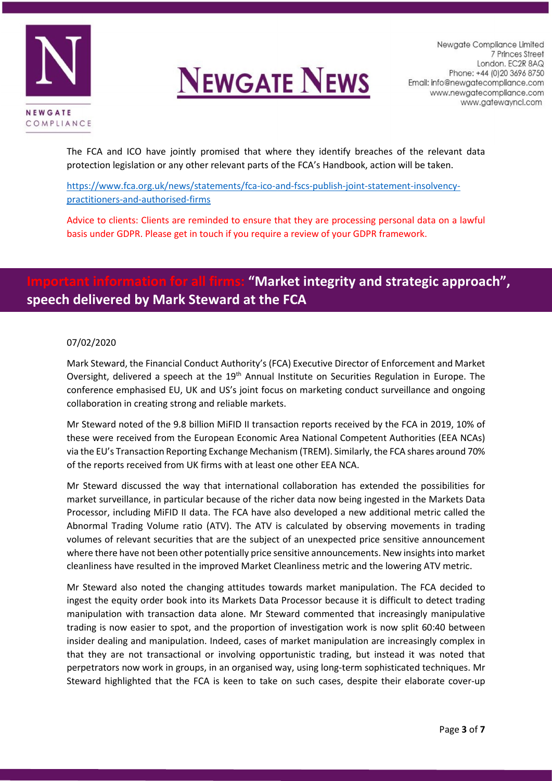



The FCA and ICO have jointly promised that where they identify breaches of the relevant data protection legislation or any other relevant parts of the FCA's Handbook, action will be taken.

[https://www.fca.org.uk/news/statements/fca-ico-and-fscs-publish-joint-statement-insolvency](https://www.fca.org.uk/news/statements/fca-ico-and-fscs-publish-joint-statement-insolvency-practitioners-and-authorised-firms)[practitioners-and-authorised-firms](https://www.fca.org.uk/news/statements/fca-ico-and-fscs-publish-joint-statement-insolvency-practitioners-and-authorised-firms)

Advice to clients: Clients are reminded to ensure that they are processing personal data on a lawful basis under GDPR. Please get in touch if you require a review of your GDPR framework.

## *IMarket integrity and strategic approach",* **speech delivered by Mark Steward at the FCA**

#### 07/02/2020

Mark Steward, the Financial Conduct Authority's (FCA) Executive Director of Enforcement and Market Oversight, delivered a speech at the 19<sup>th</sup> Annual Institute on Securities Regulation in Europe. The conference emphasised EU, UK and US's joint focus on marketing conduct surveillance and ongoing collaboration in creating strong and reliable markets.

Mr Steward noted of the 9.8 billion MiFID II transaction reports received by the FCA in 2019, 10% of these were received from the European Economic Area National Competent Authorities (EEA NCAs) via the EU's Transaction Reporting Exchange Mechanism (TREM). Similarly, the FCA shares around 70% of the reports received from UK firms with at least one other EEA NCA.

Mr Steward discussed the way that international collaboration has extended the possibilities for market surveillance, in particular because of the richer data now being ingested in the Markets Data Processor, including MiFID II data. The FCA have also developed a new additional metric called the Abnormal Trading Volume ratio (ATV). The ATV is calculated by observing movements in trading volumes of relevant securities that are the subject of an unexpected price sensitive announcement where there have not been other potentially price sensitive announcements. New insights into market cleanliness have resulted in the improved Market Cleanliness metric and the lowering ATV metric.

Mr Steward also noted the changing attitudes towards market manipulation. The FCA decided to ingest the equity order book into its Markets Data Processor because it is difficult to detect trading manipulation with transaction data alone. Mr Steward commented that increasingly manipulative trading is now easier to spot, and the proportion of investigation work is now split 60:40 between insider dealing and manipulation. Indeed, cases of market manipulation are increasingly complex in that they are not transactional or involving opportunistic trading, but instead it was noted that perpetrators now work in groups, in an organised way, using long-term sophisticated techniques. Mr Steward highlighted that the FCA is keen to take on such cases, despite their elaborate cover-up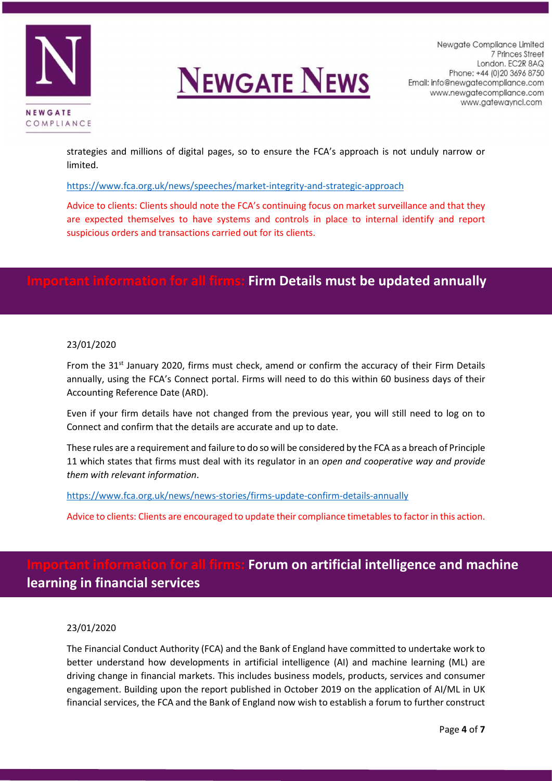

# **NEWGATE NEWS**

strategies and millions of digital pages, so to ensure the FCA's approach is not unduly narrow or limited.

<https://www.fca.org.uk/news/speeches/market-integrity-and-strategic-approach>

Advice to clients: Clients should note the FCA's continuing focus on market surveillance and that they are expected themselves to have systems and controls in place to internal identify and report suspicious orders and transactions carried out for its clients.

### *<u><b>Iormation for all firms: Firm Details must be updated annually</u>*

#### 23/01/2020

From the 31<sup>st</sup> January 2020, firms must check, amend or confirm the accuracy of their Firm Details annually, using the FCA's Connect portal. Firms will need to do this within 60 business days of their Accounting Reference Date (ARD).

Even if your firm details have not changed from the previous year, you will still need to log on to Connect and confirm that the details are accurate and up to date.

These rules are a requirement and failure to do so will be considered by the FCA as a breach of Principle 11 which states that firms must deal with its regulator in an *open and cooperative way and provide them with relevant information*.

<https://www.fca.org.uk/news/news-stories/firms-update-confirm-details-annually>

Advice to clients: Clients are encouraged to update their compliance timetables to factor in this action.

## **Important information for all firms: Forum on artificial intelligence and machine learning in financial services**

#### 23/01/2020

The Financial Conduct Authority (FCA) and the Bank of England have committed to undertake work to better understand how developments in artificial intelligence (AI) and machine learning (ML) are driving change in financial markets. This includes business models, products, services and consumer engagement. Building upon the report published in October 2019 on the application of AI/ML in UK financial services, the FCA and the Bank of England now wish to establish a forum to further construct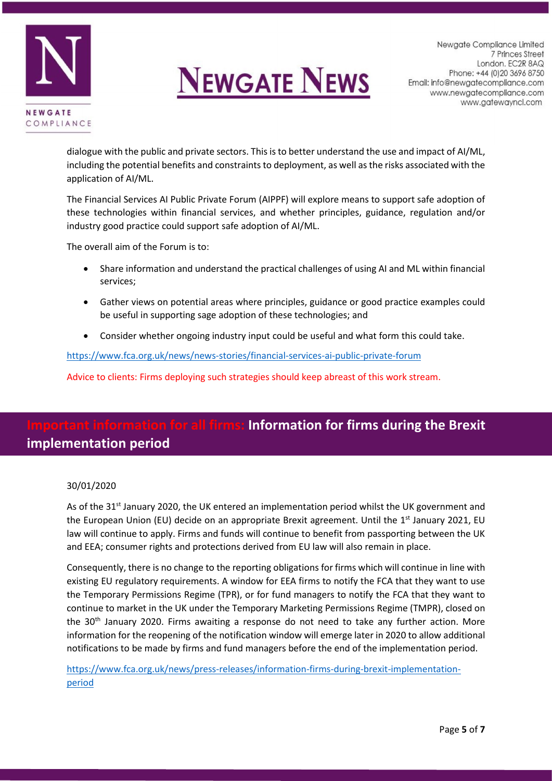

# **NEWGATE NEWS**

dialogue with the public and private sectors. This is to better understand the use and impact of AI/ML, including the potential benefits and constraints to deployment, as well as the risks associated with the application of AI/ML.

The Financial Services AI Public Private Forum (AIPPF) will explore means to support safe adoption of these technologies within financial services, and whether principles, guidance, regulation and/or industry good practice could support safe adoption of AI/ML.

The overall aim of the Forum is to:

- Share information and understand the practical challenges of using AI and ML within financial services;
- Gather views on potential areas where principles, guidance or good practice examples could be useful in supporting sage adoption of these technologies; and
- Consider whether ongoing industry input could be useful and what form this could take.

<https://www.fca.org.uk/news/news-stories/financial-services-ai-public-private-forum>

Advice to clients: Firms deploying such strategies should keep abreast of this work stream.

## *<u>Information for firms during the Brexit</u>* **implementation period**

#### 30/01/2020

As of the 31<sup>st</sup> January 2020, the UK entered an implementation period whilst the UK government and the European Union (EU) decide on an appropriate Brexit agreement. Until the 1<sup>st</sup> January 2021, EU law will continue to apply. Firms and funds will continue to benefit from passporting between the UK and EEA; consumer rights and protections derived from EU law will also remain in place.

Consequently, there is no change to the reporting obligations for firms which will continue in line with existing EU regulatory requirements. A window for EEA firms to notify the FCA that they want to use the Temporary Permissions Regime (TPR), or for fund managers to notify the FCA that they want to continue to market in the UK under the Temporary Marketing Permissions Regime (TMPR), closed on the 30<sup>th</sup> January 2020. Firms awaiting a response do not need to take any further action. More information for the reopening of the notification window will emerge later in 2020 to allow additional notifications to be made by firms and fund managers before the end of the implementation period.

[https://www.fca.org.uk/news/press-releases/information-firms-during-brexit-implementation](https://www.fca.org.uk/news/press-releases/information-firms-during-brexit-implementation-period)[period](https://www.fca.org.uk/news/press-releases/information-firms-during-brexit-implementation-period)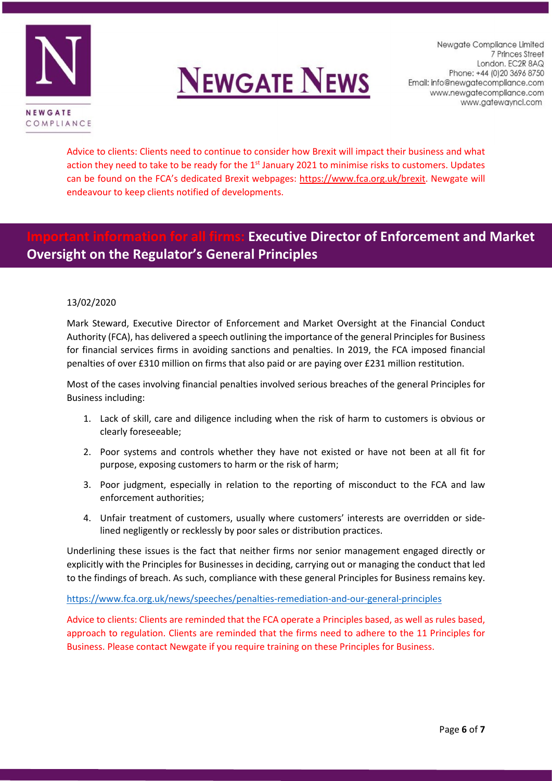



Newaate Compliance Limited 7 Princes Street London. EC2R 8AQ Phone: +44 (0) 20 3696 8750 Email: info@newgatecompliance.com www.newgatecompliance.com www.gatewayncl.com

Advice to clients: Clients need to continue to consider how Brexit will impact their business and what action they need to take to be ready for the 1<sup>st</sup> January 2021 to minimise risks to customers. Updates can be found on the FCA's dedicated Brexit webpages: [https://www.fca.org.uk/brexit.](https://www.fca.org.uk/brexit) Newgate will endeavour to keep clients notified of developments.

## **Executive Director of Enforcement and Market Oversight on the Regulator's General Principles**

#### 13/02/2020

Mark Steward, Executive Director of Enforcement and Market Oversight at the Financial Conduct Authority (FCA), has delivered a speech outlining the importance of the general Principles for Business for financial services firms in avoiding sanctions and penalties. In 2019, the FCA imposed financial penalties of over £310 million on firms that also paid or are paying over £231 million restitution.

Most of the cases involving financial penalties involved serious breaches of the general Principles for Business including:

- 1. Lack of skill, care and diligence including when the risk of harm to customers is obvious or clearly foreseeable;
- 2. Poor systems and controls whether they have not existed or have not been at all fit for purpose, exposing customers to harm or the risk of harm;
- 3. Poor judgment, especially in relation to the reporting of misconduct to the FCA and law enforcement authorities;
- 4. Unfair treatment of customers, usually where customers' interests are overridden or sidelined negligently or recklessly by poor sales or distribution practices.

Underlining these issues is the fact that neither firms nor senior management engaged directly or explicitly with the Principles for Businesses in deciding, carrying out or managing the conduct that led to the findings of breach. As such, compliance with these general Principles for Business remains key.

#### <https://www.fca.org.uk/news/speeches/penalties-remediation-and-our-general-principles>

Advice to clients: Clients are reminded that the FCA operate a Principles based, as well as rules based, approach to regulation. Clients are reminded that the firms need to adhere to the 11 Principles for Business. Please contact Newgate if you require training on these Principles for Business.